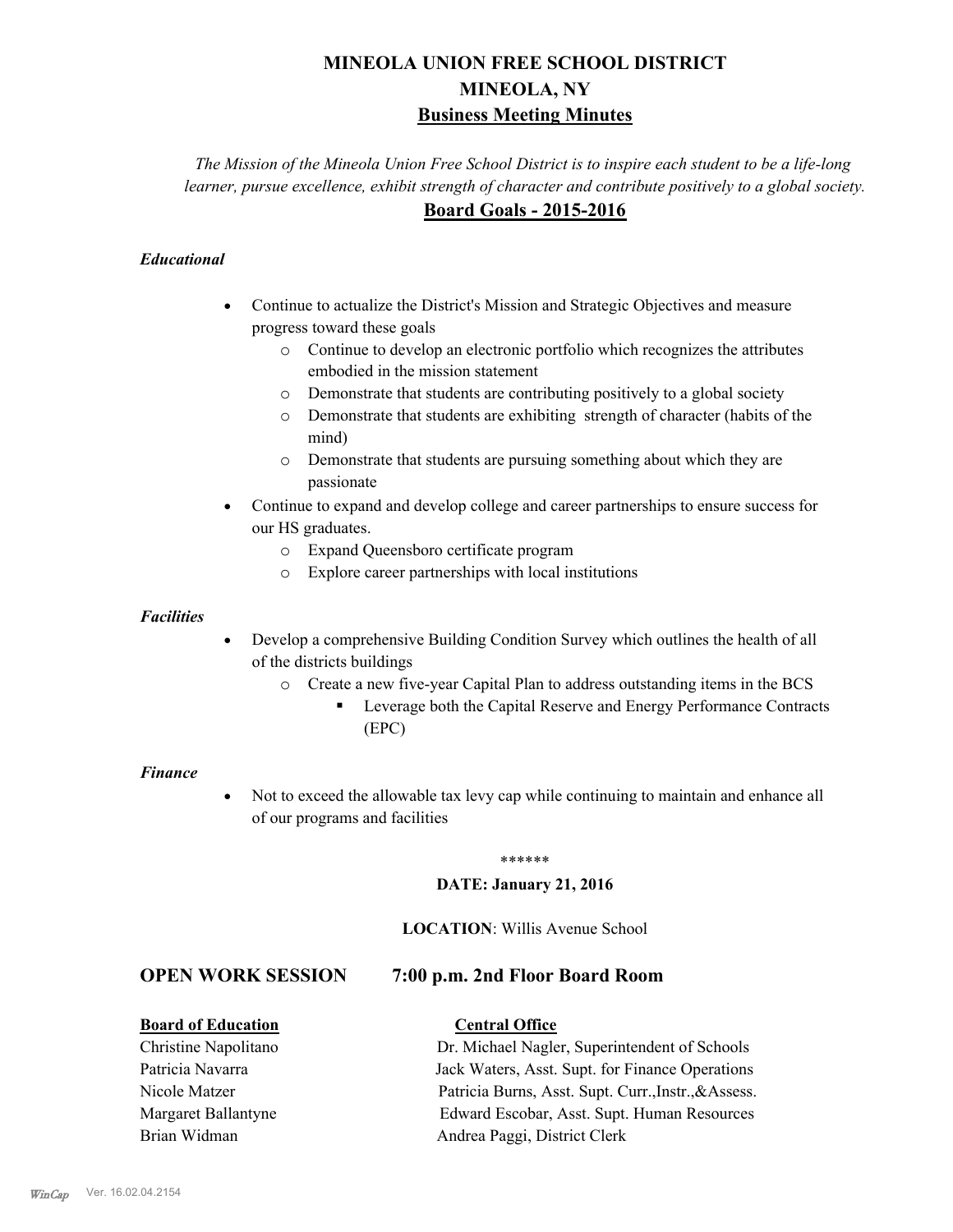# **MINEOLA UNION FREE SCHOOL DISTRICT MINEOLA, NY Business Meeting Minutes**

*The Mission of the Mineola Union Free School District is to inspire each student to be a life-long learner, pursue excellence, exhibit strength of character and contribute positively to a global society.* **Board Goals - 2015-2016**

#### *Educational*

- · Continue to actualize the District's Mission and Strategic Objectives and measure progress toward these goals
	- o Continue to develop an electronic portfolio which recognizes the attributes embodied in the mission statement
	- o Demonstrate that students are contributing positively to a global society
	- o Demonstrate that students are exhibiting strength of character (habits of the mind)
	- o Demonstrate that students are pursuing something about which they are passionate
- Continue to expand and develop college and career partnerships to ensure success for our HS graduates.
	- o Expand Queensboro certificate program
	- o Explore career partnerships with local institutions

#### *Facilities*

- Develop a comprehensive Building Condition Survey which outlines the health of all of the districts buildings
	- o Create a new five-year Capital Plan to address outstanding items in the BCS
		- § Leverage both the Capital Reserve and Energy Performance Contracts (EPC)

#### *Finance*

• Not to exceed the allowable tax levy cap while continuing to maintain and enhance all of our programs and facilities

#### \*\*\*\*\*\*

#### **DATE: January 21, 2016**

#### **LOCATION**: Willis Avenue School

## **OPEN WORK SESSION 7:00 p.m. 2nd Floor Board Room**

#### **Board of Education Central Office**

Margaret Ballantyne Edward Escobar, Asst. Supt. Human Resources

# Christine Napolitano Dr. Michael Nagler, Superintendent of Schools Patricia Navarra Jack Waters, Asst. Supt. for Finance Operations Nicole Matzer Patricia Burns, Asst. Supt. Curr.,Instr.,&Assess.

Brian Widman **Andrea Paggi, District Clerk**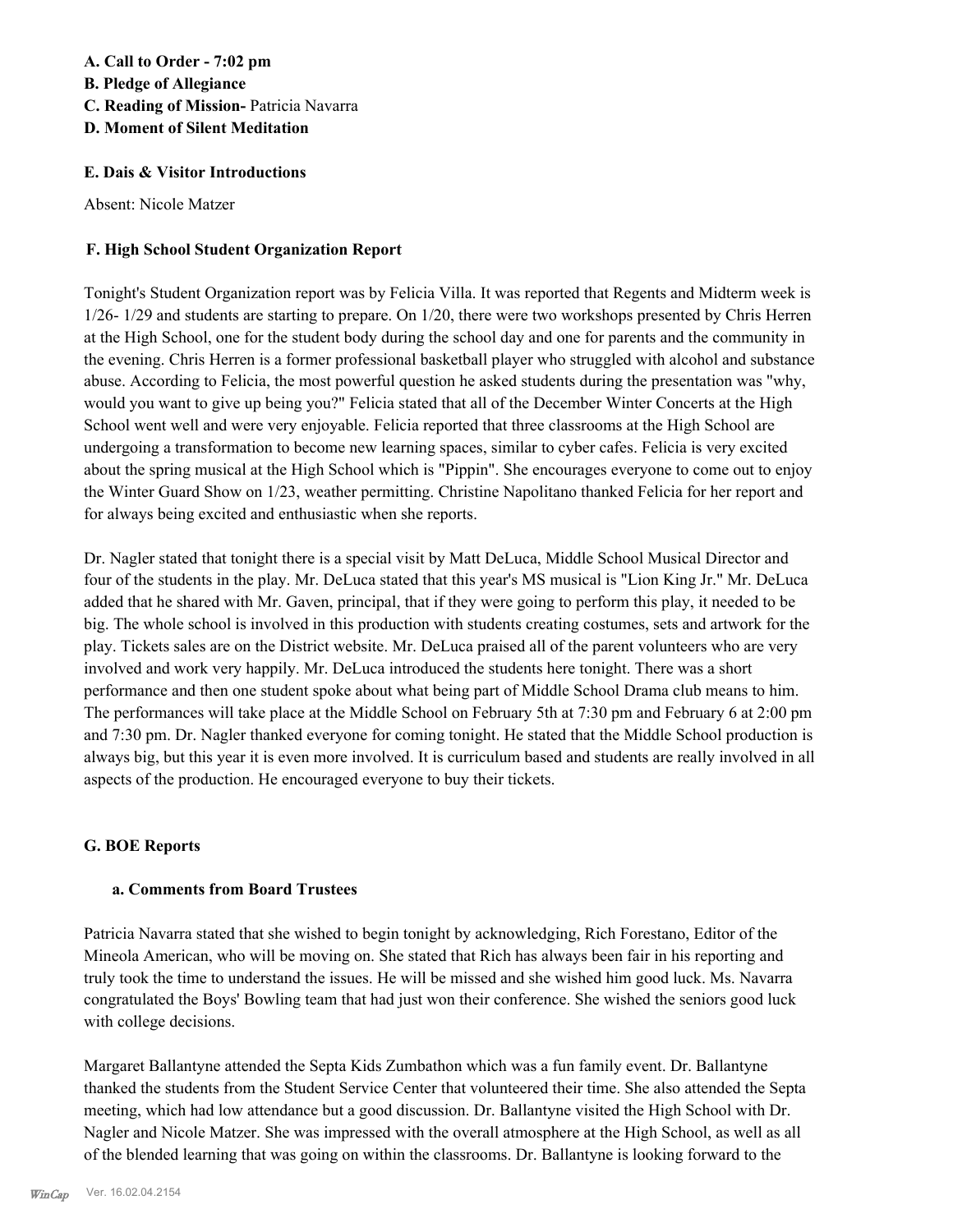#### **A. Call to Order - 7:02 pm B. Pledge of Allegiance C. Reading of Mission-** Patricia Navarra **D. Moment of Silent Meditation**

#### **E. Dais & Visitor Introductions**

Absent: Nicole Matzer

#### **F. High School Student Organization Report**

Tonight's Student Organization report was by Felicia Villa. It was reported that Regents and Midterm week is 1/26- 1/29 and students are starting to prepare. On 1/20, there were two workshops presented by Chris Herren at the High School, one for the student body during the school day and one for parents and the community in the evening. Chris Herren is a former professional basketball player who struggled with alcohol and substance abuse. According to Felicia, the most powerful question he asked students during the presentation was "why, would you want to give up being you?" Felicia stated that all of the December Winter Concerts at the High School went well and were very enjoyable. Felicia reported that three classrooms at the High School are undergoing a transformation to become new learning spaces, similar to cyber cafes. Felicia is very excited about the spring musical at the High School which is "Pippin". She encourages everyone to come out to enjoy the Winter Guard Show on 1/23, weather permitting. Christine Napolitano thanked Felicia for her report and for always being excited and enthusiastic when she reports.

Dr. Nagler stated that tonight there is a special visit by Matt DeLuca, Middle School Musical Director and four of the students in the play. Mr. DeLuca stated that this year's MS musical is "Lion King Jr." Mr. DeLuca added that he shared with Mr. Gaven, principal, that if they were going to perform this play, it needed to be big. The whole school is involved in this production with students creating costumes, sets and artwork for the play. Tickets sales are on the District website. Mr. DeLuca praised all of the parent volunteers who are very involved and work very happily. Mr. DeLuca introduced the students here tonight. There was a short performance and then one student spoke about what being part of Middle School Drama club means to him. The performances will take place at the Middle School on February 5th at 7:30 pm and February 6 at 2:00 pm and 7:30 pm. Dr. Nagler thanked everyone for coming tonight. He stated that the Middle School production is always big, but this year it is even more involved. It is curriculum based and students are really involved in all aspects of the production. He encouraged everyone to buy their tickets.

#### **G. BOE Reports**

#### **a. Comments from Board Trustees**

Patricia Navarra stated that she wished to begin tonight by acknowledging, Rich Forestano, Editor of the Mineola American, who will be moving on. She stated that Rich has always been fair in his reporting and truly took the time to understand the issues. He will be missed and she wished him good luck. Ms. Navarra congratulated the Boys' Bowling team that had just won their conference. She wished the seniors good luck with college decisions.

Margaret Ballantyne attended the Septa Kids Zumbathon which was a fun family event. Dr. Ballantyne thanked the students from the Student Service Center that volunteered their time. She also attended the Septa meeting, which had low attendance but a good discussion. Dr. Ballantyne visited the High School with Dr. Nagler and Nicole Matzer. She was impressed with the overall atmosphere at the High School, as well as all of the blended learning that was going on within the classrooms. Dr. Ballantyne is looking forward to the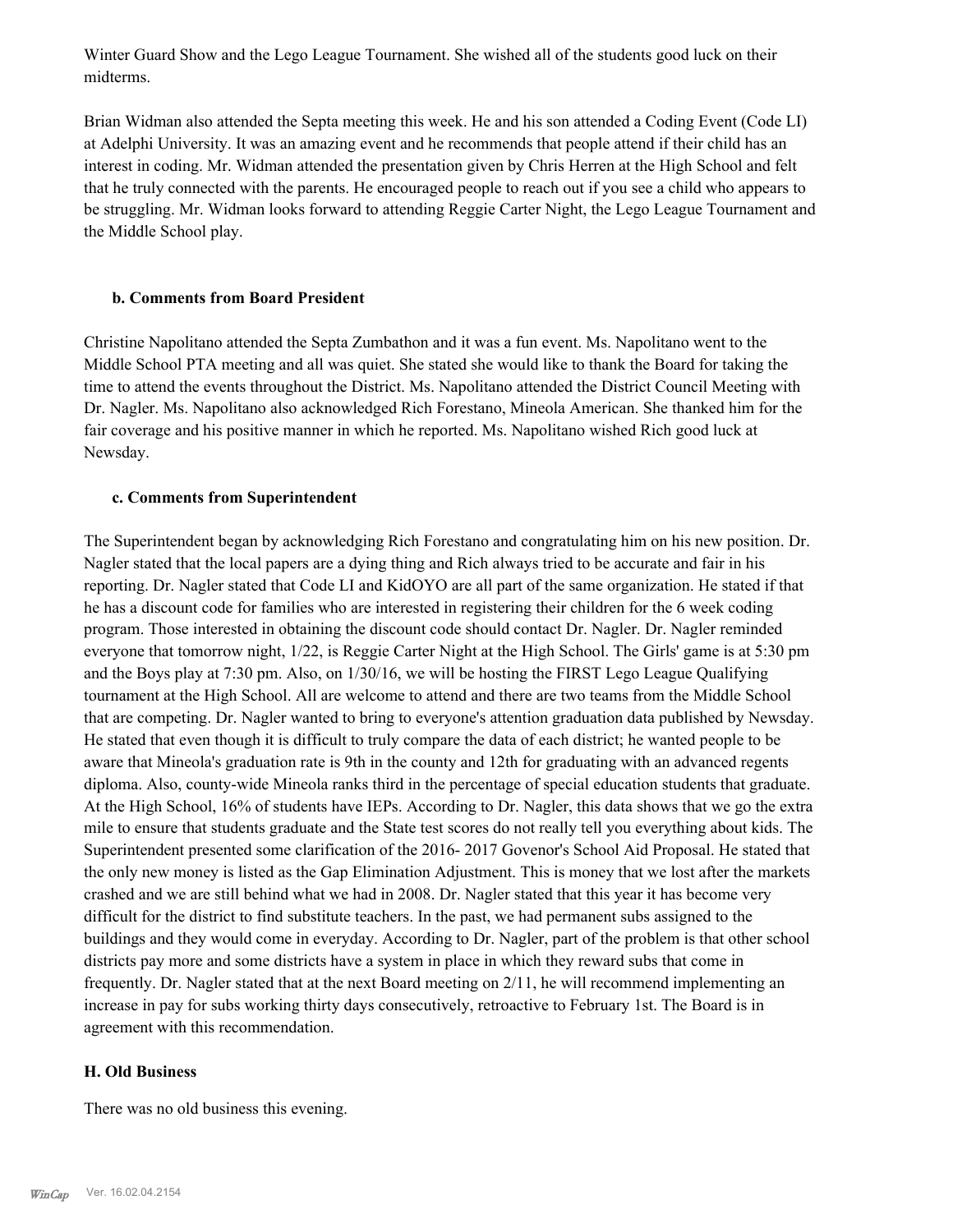Winter Guard Show and the Lego League Tournament. She wished all of the students good luck on their midterms.

Brian Widman also attended the Septa meeting this week. He and his son attended a Coding Event (Code LI) at Adelphi University. It was an amazing event and he recommends that people attend if their child has an interest in coding. Mr. Widman attended the presentation given by Chris Herren at the High School and felt that he truly connected with the parents. He encouraged people to reach out if you see a child who appears to be struggling. Mr. Widman looks forward to attending Reggie Carter Night, the Lego League Tournament and the Middle School play.

#### **b. Comments from Board President**

Christine Napolitano attended the Septa Zumbathon and it was a fun event. Ms. Napolitano went to the Middle School PTA meeting and all was quiet. She stated she would like to thank the Board for taking the time to attend the events throughout the District. Ms. Napolitano attended the District Council Meeting with Dr. Nagler. Ms. Napolitano also acknowledged Rich Forestano, Mineola American. She thanked him for the fair coverage and his positive manner in which he reported. Ms. Napolitano wished Rich good luck at Newsday.

#### **c. Comments from Superintendent**

The Superintendent began by acknowledging Rich Forestano and congratulating him on his new position. Dr. Nagler stated that the local papers are a dying thing and Rich always tried to be accurate and fair in his reporting. Dr. Nagler stated that Code LI and KidOYO are all part of the same organization. He stated if that he has a discount code for families who are interested in registering their children for the 6 week coding program. Those interested in obtaining the discount code should contact Dr. Nagler. Dr. Nagler reminded everyone that tomorrow night, 1/22, is Reggie Carter Night at the High School. The Girls' game is at 5:30 pm and the Boys play at 7:30 pm. Also, on 1/30/16, we will be hosting the FIRST Lego League Qualifying tournament at the High School. All are welcome to attend and there are two teams from the Middle School that are competing. Dr. Nagler wanted to bring to everyone's attention graduation data published by Newsday. He stated that even though it is difficult to truly compare the data of each district; he wanted people to be aware that Mineola's graduation rate is 9th in the county and 12th for graduating with an advanced regents diploma. Also, county-wide Mineola ranks third in the percentage of special education students that graduate. At the High School, 16% of students have IEPs. According to Dr. Nagler, this data shows that we go the extra mile to ensure that students graduate and the State test scores do not really tell you everything about kids. The Superintendent presented some clarification of the 2016- 2017 Govenor's School Aid Proposal. He stated that the only new money is listed as the Gap Elimination Adjustment. This is money that we lost after the markets crashed and we are still behind what we had in 2008. Dr. Nagler stated that this year it has become very difficult for the district to find substitute teachers. In the past, we had permanent subs assigned to the buildings and they would come in everyday. According to Dr. Nagler, part of the problem is that other school districts pay more and some districts have a system in place in which they reward subs that come in frequently. Dr. Nagler stated that at the next Board meeting on 2/11, he will recommend implementing an increase in pay for subs working thirty days consecutively, retroactive to February 1st. The Board is in agreement with this recommendation.

#### **H. Old Business**

There was no old business this evening.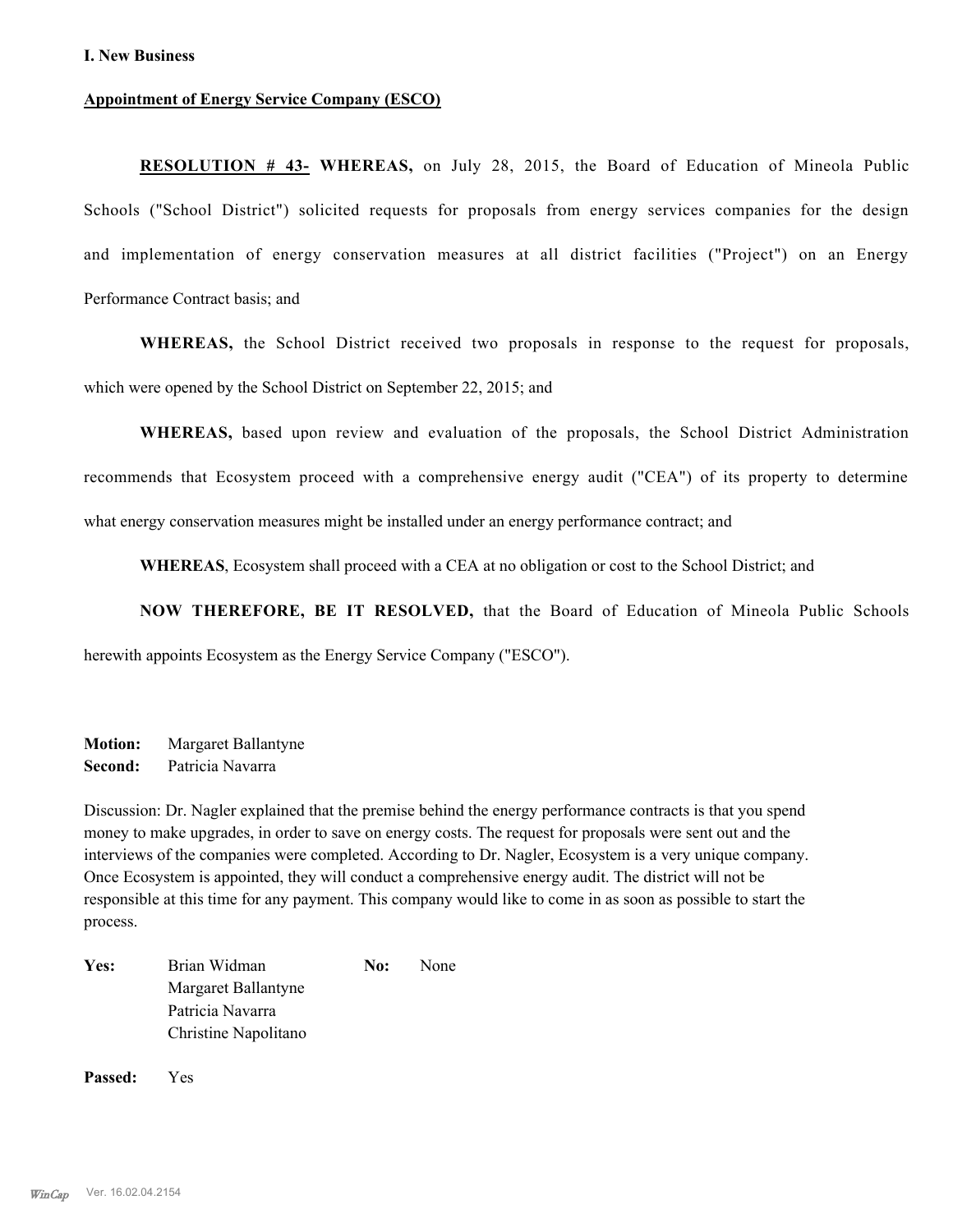#### **I. New Business**

#### **Appointment of Energy Service Company (ESCO)**

**RESOLUTION # 43- WHEREAS,** on July 28, 2015, the Board of Education of Mineola Public Schools ("School District") solicited requests for proposals from energy services companies for the design and implementation of energy conservation measures at all district facilities ("Project") on an Energy Performance Contract basis; and

**WHEREAS,** the School District received two proposals in response to the request for proposals, which were opened by the School District on September 22, 2015; and

**WHEREAS,** based upon review and evaluation of the proposals, the School District Administration recommends that Ecosystem proceed with a comprehensive energy audit ("CEA") of its property to determine what energy conservation measures might be installed under an energy performance contract; and

**WHEREAS**, Ecosystem shall proceed with a CEA at no obligation or cost to the School District; and

**NOW THEREFORE, BE IT RESOLVED,** that the Board of Education of Mineola Public Schools

herewith appoints Ecosystem as the Energy Service Company ("ESCO").

**Motion:** Margaret Ballantyne **Second:** Patricia Navarra

Discussion: Dr. Nagler explained that the premise behind the energy performance contracts is that you spend money to make upgrades, in order to save on energy costs. The request for proposals were sent out and the interviews of the companies were completed. According to Dr. Nagler, Ecosystem is a very unique company. Once Ecosystem is appointed, they will conduct a comprehensive energy audit. The district will not be responsible at this time for any payment. This company would like to come in as soon as possible to start the process.

| Yes: | Brian Widman         | No: | None |
|------|----------------------|-----|------|
|      | Margaret Ballantyne  |     |      |
|      | Patricia Navarra     |     |      |
|      | Christine Napolitano |     |      |
|      |                      |     |      |

**Passed:** Yes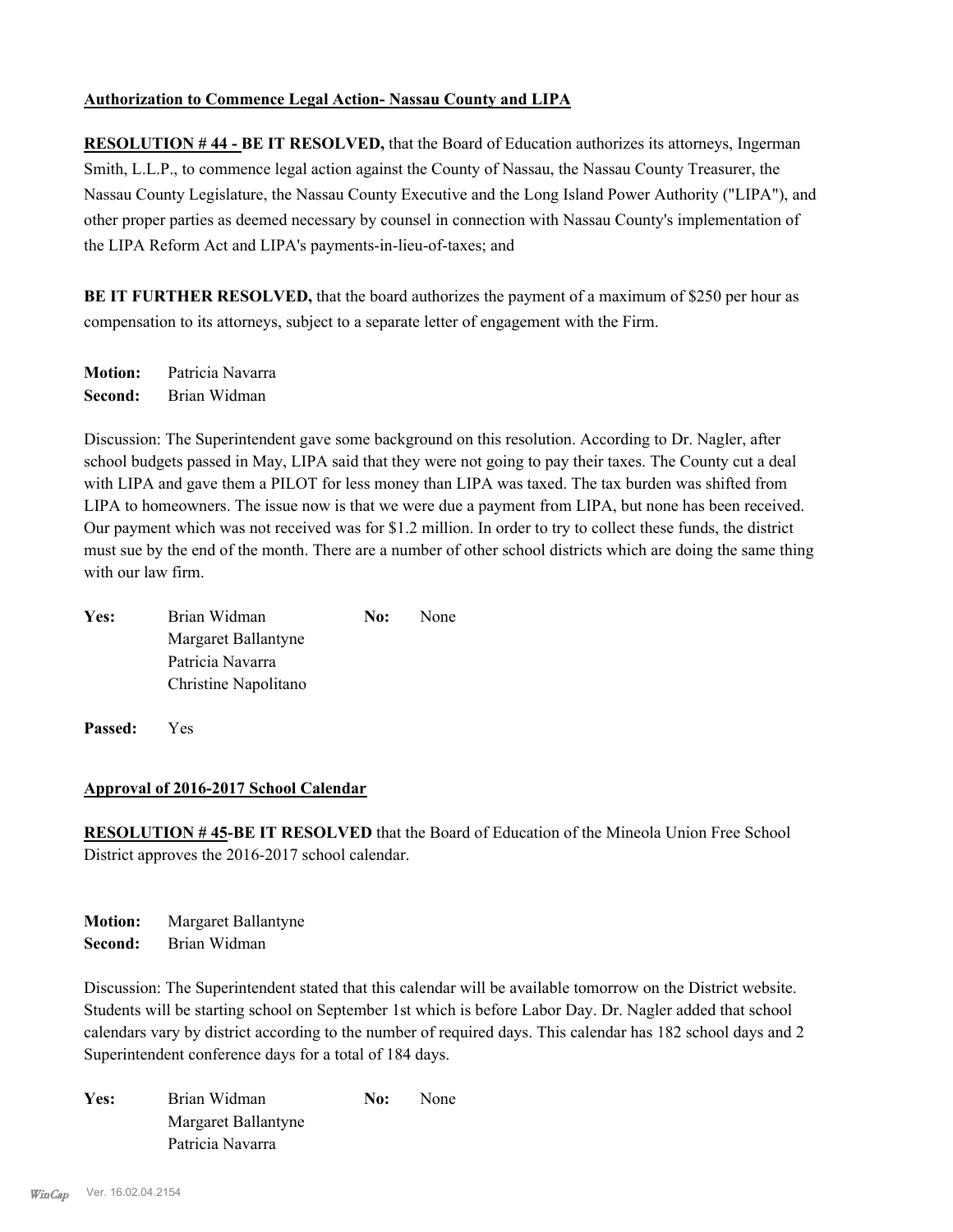#### **Authorization to Commence Legal Action- Nassau County and LIPA**

**RESOLUTION # 44 - BE IT RESOLVED,** that the Board of Education authorizes its attorneys, Ingerman Smith, L.L.P., to commence legal action against the County of Nassau, the Nassau County Treasurer, the Nassau County Legislature, the Nassau County Executive and the Long Island Power Authority ("LIPA"), and other proper parties as deemed necessary by counsel in connection with Nassau County's implementation of the LIPA Reform Act and LIPA's payments-in-lieu-of-taxes; and

**BE IT FURTHER RESOLVED,** that the board authorizes the payment of a maximum of \$250 per hour as compensation to its attorneys, subject to a separate letter of engagement with the Firm.

**Motion:** Patricia Navarra **Second:** Brian Widman

Discussion: The Superintendent gave some background on this resolution. According to Dr. Nagler, after school budgets passed in May, LIPA said that they were not going to pay their taxes. The County cut a deal with LIPA and gave them a PILOT for less money than LIPA was taxed. The tax burden was shifted from LIPA to homeowners. The issue now is that we were due a payment from LIPA, but none has been received. Our payment which was not received was for \$1.2 million. In order to try to collect these funds, the district must sue by the end of the month. There are a number of other school districts which are doing the same thing with our law firm.

| Yes: | Brian Widman         | No: | None |
|------|----------------------|-----|------|
|      | Margaret Ballantyne  |     |      |
|      | Patricia Navarra     |     |      |
|      | Christine Napolitano |     |      |

**Passed:** Yes

#### **Approval of 2016-2017 School Calendar**

**RESOLUTION # 45-BE IT RESOLVED** that the Board of Education of the Mineola Union Free School District approves the 2016-2017 school calendar.

**Motion:** Margaret Ballantyne **Second:** Brian Widman

Discussion: The Superintendent stated that this calendar will be available tomorrow on the District website. Students will be starting school on September 1st which is before Labor Day. Dr. Nagler added that school calendars vary by district according to the number of required days. This calendar has 182 school days and 2 Superintendent conference days for a total of 184 days.

Yes: Brian Widman **No:** None Margaret Ballantyne Patricia Navarra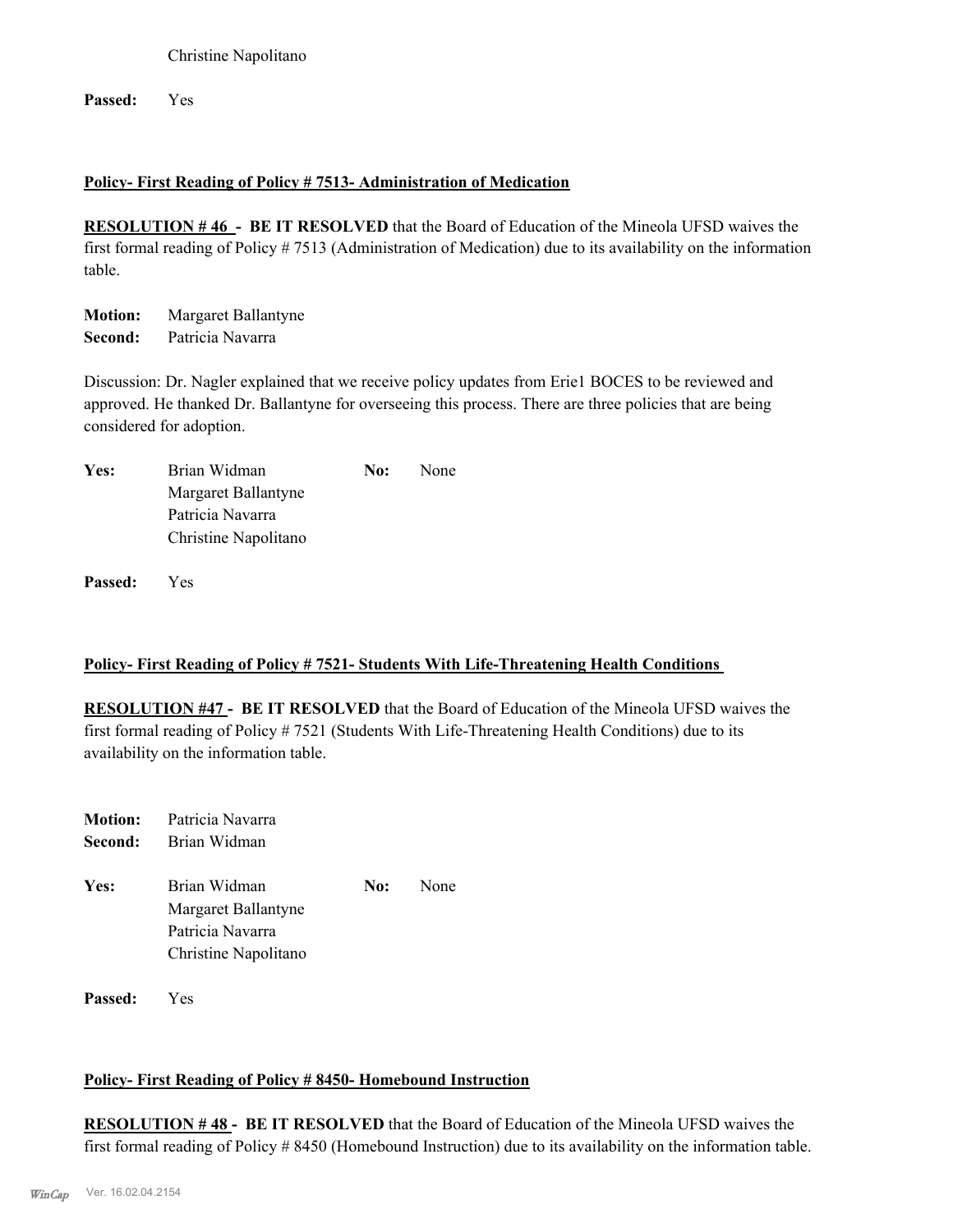Christine Napolitano

**Passed:** Yes

#### **Policy- First Reading of Policy # 7513- Administration of Medication**

**RESOLUTION # 46 - BE IT RESOLVED** that the Board of Education of the Mineola UFSD waives the first formal reading of Policy # 7513 (Administration of Medication) due to its availability on the information table.

**Motion:** Margaret Ballantyne **Second:** Patricia Navarra

Discussion: Dr. Nagler explained that we receive policy updates from Erie1 BOCES to be reviewed and approved. He thanked Dr. Ballantyne for overseeing this process. There are three policies that are being considered for adoption.

| Yes: | Brian Widman         | No: | None |
|------|----------------------|-----|------|
|      | Margaret Ballantyne  |     |      |
|      | Patricia Navarra     |     |      |
|      | Christine Napolitano |     |      |

**Passed:** Yes

#### **Policy- First Reading of Policy # 7521- Students With Life-Threatening Health Conditions**

**RESOLUTION #47 - BE IT RESOLVED** that the Board of Education of the Mineola UFSD waives the first formal reading of Policy # 7521 (Students With Life-Threatening Health Conditions) due to its availability on the information table.

| Second: | <b>Motion:</b> Patricia Navarra<br>Brian Widman                                 |     |      |
|---------|---------------------------------------------------------------------------------|-----|------|
| Yes:    | Brian Widman<br>Margaret Ballantyne<br>Patricia Navarra<br>Christine Napolitano | No: | None |

**Passed:** Yes

#### **Policy- First Reading of Policy # 8450- Homebound Instruction**

**RESOLUTION # 48 - BE IT RESOLVED** that the Board of Education of the Mineola UFSD waives the first formal reading of Policy # 8450 (Homebound Instruction) due to its availability on the information table.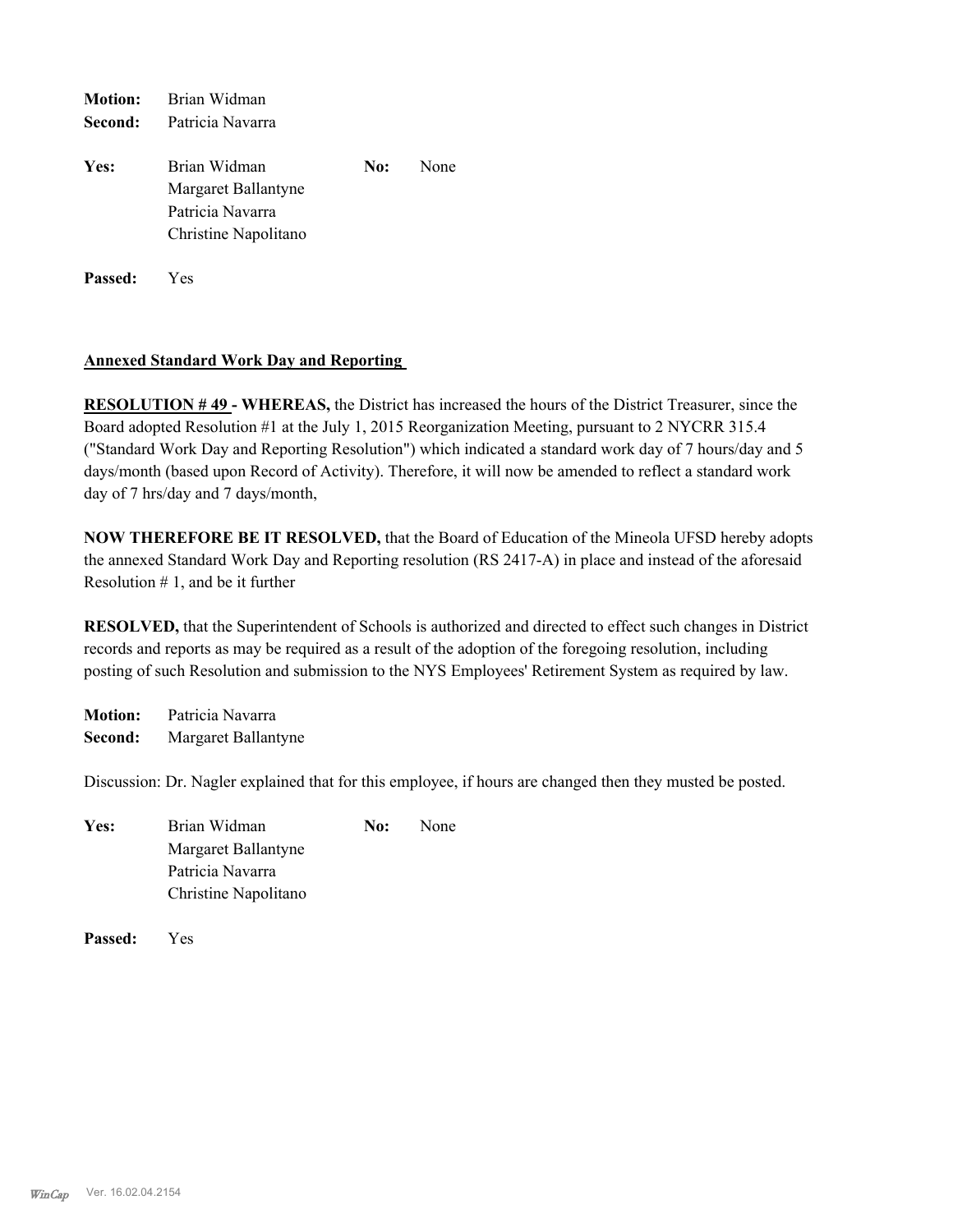| <b>Motion:</b> | Brian Widman                                                                    |     |      |
|----------------|---------------------------------------------------------------------------------|-----|------|
| Second:        | Patricia Navarra                                                                |     |      |
| Yes:           | Brian Widman<br>Margaret Ballantyne<br>Patricia Navarra<br>Christine Napolitano | No: | None |
| <b>Passed:</b> | <b>Yes</b>                                                                      |     |      |

#### **Annexed Standard Work Day and Reporting**

**RESOLUTION # 49 - WHEREAS,** the District has increased the hours of the District Treasurer, since the Board adopted Resolution #1 at the July 1, 2015 Reorganization Meeting, pursuant to 2 NYCRR 315.4 ("Standard Work Day and Reporting Resolution") which indicated a standard work day of 7 hours/day and 5 days/month (based upon Record of Activity). Therefore, it will now be amended to reflect a standard work day of 7 hrs/day and 7 days/month,

**NOW THEREFORE BE IT RESOLVED,** that the Board of Education of the Mineola UFSD hereby adopts the annexed Standard Work Day and Reporting resolution (RS 2417-A) in place and instead of the aforesaid Resolution  $# 1$ , and be it further

**RESOLVED,** that the Superintendent of Schools is authorized and directed to effect such changes in District records and reports as may be required as a result of the adoption of the foregoing resolution, including posting of such Resolution and submission to the NYS Employees' Retirement System as required by law.

**Motion:** Patricia Navarra **Second:** Margaret Ballantyne

Discussion: Dr. Nagler explained that for this employee, if hours are changed then they musted be posted.

| Yes: | Brian Widman         | No: | None |
|------|----------------------|-----|------|
|      | Margaret Ballantyne  |     |      |
|      | Patricia Navarra     |     |      |
|      | Christine Napolitano |     |      |
|      |                      |     |      |

**Passed:** Yes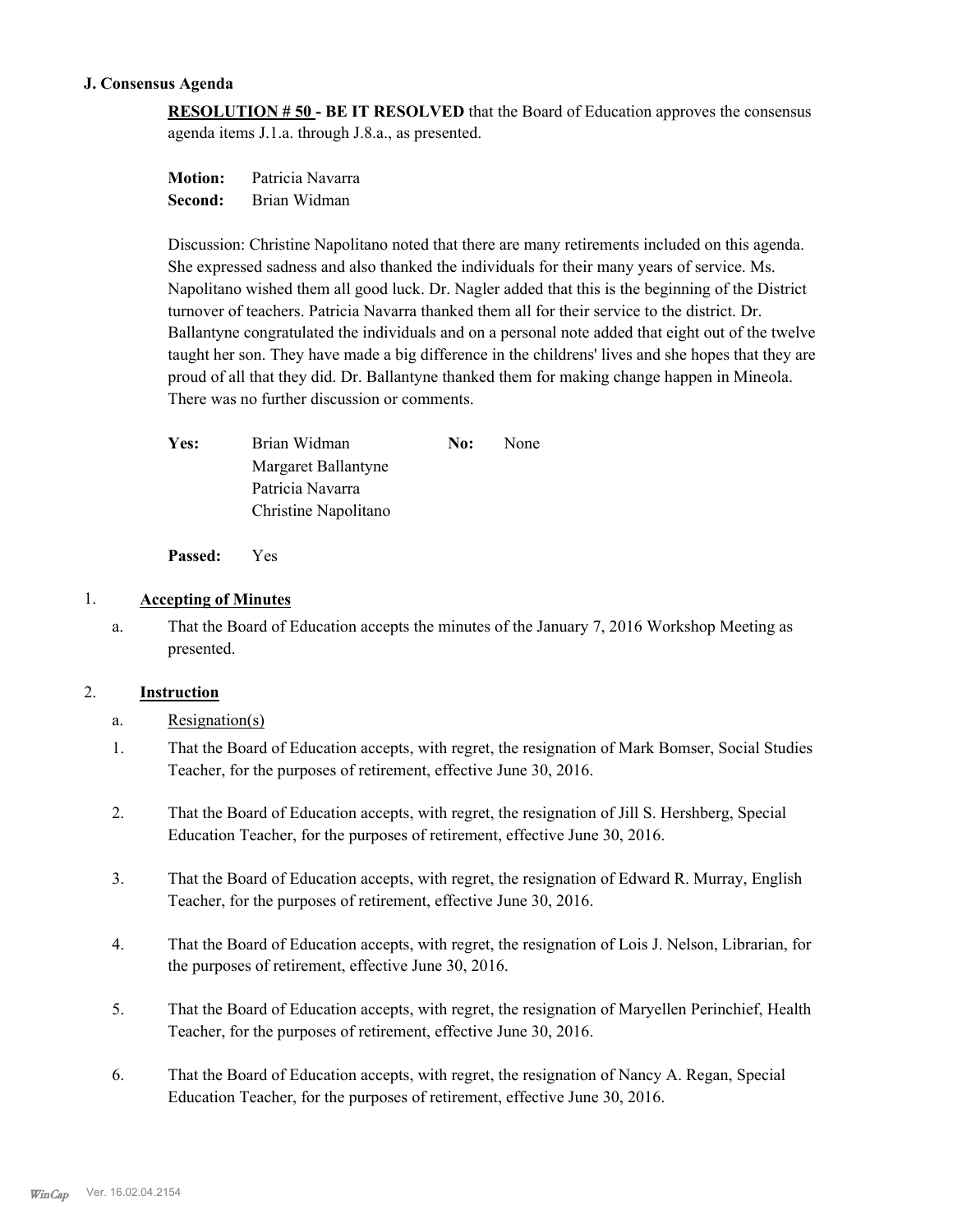#### **J. Consensus Agenda**

**RESOLUTION # 50 - BE IT RESOLVED** that the Board of Education approves the consensus agenda items J.1.a. through J.8.a., as presented.

**Motion:** Patricia Navarra **Second:** Brian Widman

Discussion: Christine Napolitano noted that there are many retirements included on this agenda. She expressed sadness and also thanked the individuals for their many years of service. Ms. Napolitano wished them all good luck. Dr. Nagler added that this is the beginning of the District turnover of teachers. Patricia Navarra thanked them all for their service to the district. Dr. Ballantyne congratulated the individuals and on a personal note added that eight out of the twelve taught her son. They have made a big difference in the childrens' lives and she hopes that they are proud of all that they did. Dr. Ballantyne thanked them for making change happen in Mineola. There was no further discussion or comments.

| <b>Yes:</b> | Brian Widman         | No: | None |
|-------------|----------------------|-----|------|
|             | Margaret Ballantyne  |     |      |
|             | Patricia Navarra     |     |      |
|             | Christine Napolitano |     |      |
|             |                      |     |      |

**Passed:** Yes

#### 1. **Accepting of Minutes**

That the Board of Education accepts the minutes of the January 7, 2016 Workshop Meeting as presented. a.

#### 2. **Instruction**

a. Resignation(s)

- That the Board of Education accepts, with regret, the resignation of Mark Bomser, Social Studies Teacher, for the purposes of retirement, effective June 30, 2016. 1.
- That the Board of Education accepts, with regret, the resignation of Jill S. Hershberg, Special Education Teacher, for the purposes of retirement, effective June 30, 2016. 2.
- That the Board of Education accepts, with regret, the resignation of Edward R. Murray, English Teacher, for the purposes of retirement, effective June 30, 2016. 3.
- That the Board of Education accepts, with regret, the resignation of Lois J. Nelson, Librarian, for the purposes of retirement, effective June 30, 2016. 4.
- That the Board of Education accepts, with regret, the resignation of Maryellen Perinchief, Health Teacher, for the purposes of retirement, effective June 30, 2016. 5.
- That the Board of Education accepts, with regret, the resignation of Nancy A. Regan, Special Education Teacher, for the purposes of retirement, effective June 30, 2016. 6.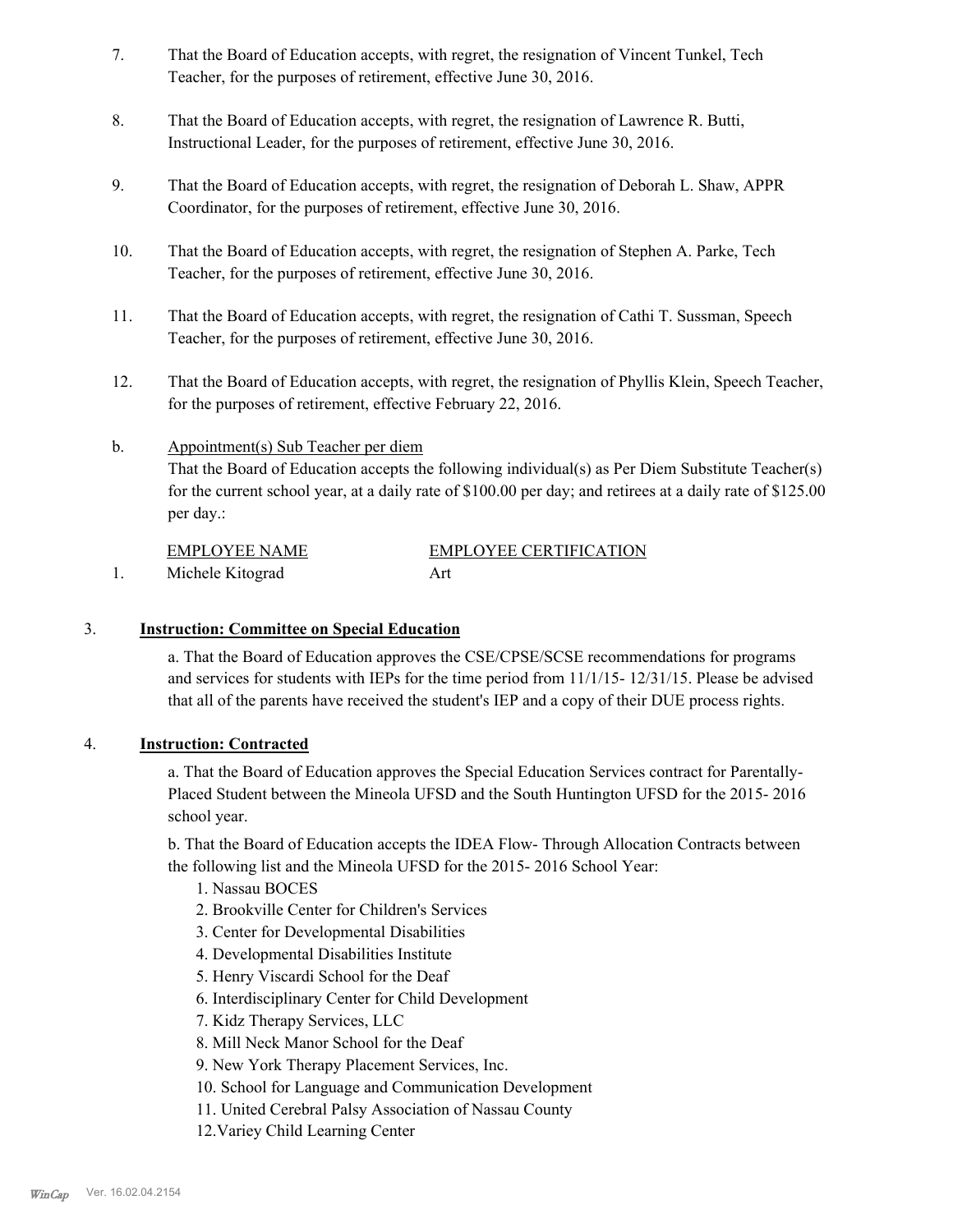- That the Board of Education accepts, with regret, the resignation of Vincent Tunkel, Tech Teacher, for the purposes of retirement, effective June 30, 2016. 7.
- That the Board of Education accepts, with regret, the resignation of Lawrence R. Butti, Instructional Leader, for the purposes of retirement, effective June 30, 2016. 8.
- That the Board of Education accepts, with regret, the resignation of Deborah L. Shaw, APPR Coordinator, for the purposes of retirement, effective June 30, 2016. 9.
- That the Board of Education accepts, with regret, the resignation of Stephen A. Parke, Tech Teacher, for the purposes of retirement, effective June 30, 2016. 10.
- That the Board of Education accepts, with regret, the resignation of Cathi T. Sussman, Speech Teacher, for the purposes of retirement, effective June 30, 2016. 11.
- That the Board of Education accepts, with regret, the resignation of Phyllis Klein, Speech Teacher, for the purposes of retirement, effective February 22, 2016. 12.

#### Appointment(s) Sub Teacher per diem That the Board of Education accepts the following individual(s) as Per Diem Substitute Teacher(s) for the current school year, at a daily rate of \$100.00 per day; and retirees at a daily rate of \$125.00 per day.: b.

| EMPLOYEE NAME    | <b>EMPLOYEE CERTIFICATION</b> |
|------------------|-------------------------------|
| Michele Kitograd | Art                           |

# 3. **Instruction: Committee on Special Education**

a. That the Board of Education approves the CSE/CPSE/SCSE recommendations for programs and services for students with IEPs for the time period from 11/1/15- 12/31/15. Please be advised that all of the parents have received the student's IEP and a copy of their DUE process rights.

## 4. **Instruction: Contracted**

a. That the Board of Education approves the Special Education Services contract for Parentally-Placed Student between the Mineola UFSD and the South Huntington UFSD for the 2015- 2016 school year.

b. That the Board of Education accepts the IDEA Flow- Through Allocation Contracts between the following list and the Mineola UFSD for the 2015- 2016 School Year:

- 1. Nassau BOCES
- 2. Brookville Center for Children's Services
- 3. Center for Developmental Disabilities
- 4. Developmental Disabilities Institute
- 5. Henry Viscardi School for the Deaf
- 6. Interdisciplinary Center for Child Development
- 7. Kidz Therapy Services, LLC
- 8. Mill Neck Manor School for the Deaf
- 9. New York Therapy Placement Services, Inc.
- 10. School for Language and Communication Development
- 11. United Cerebral Palsy Association of Nassau County
- 12.Variey Child Learning Center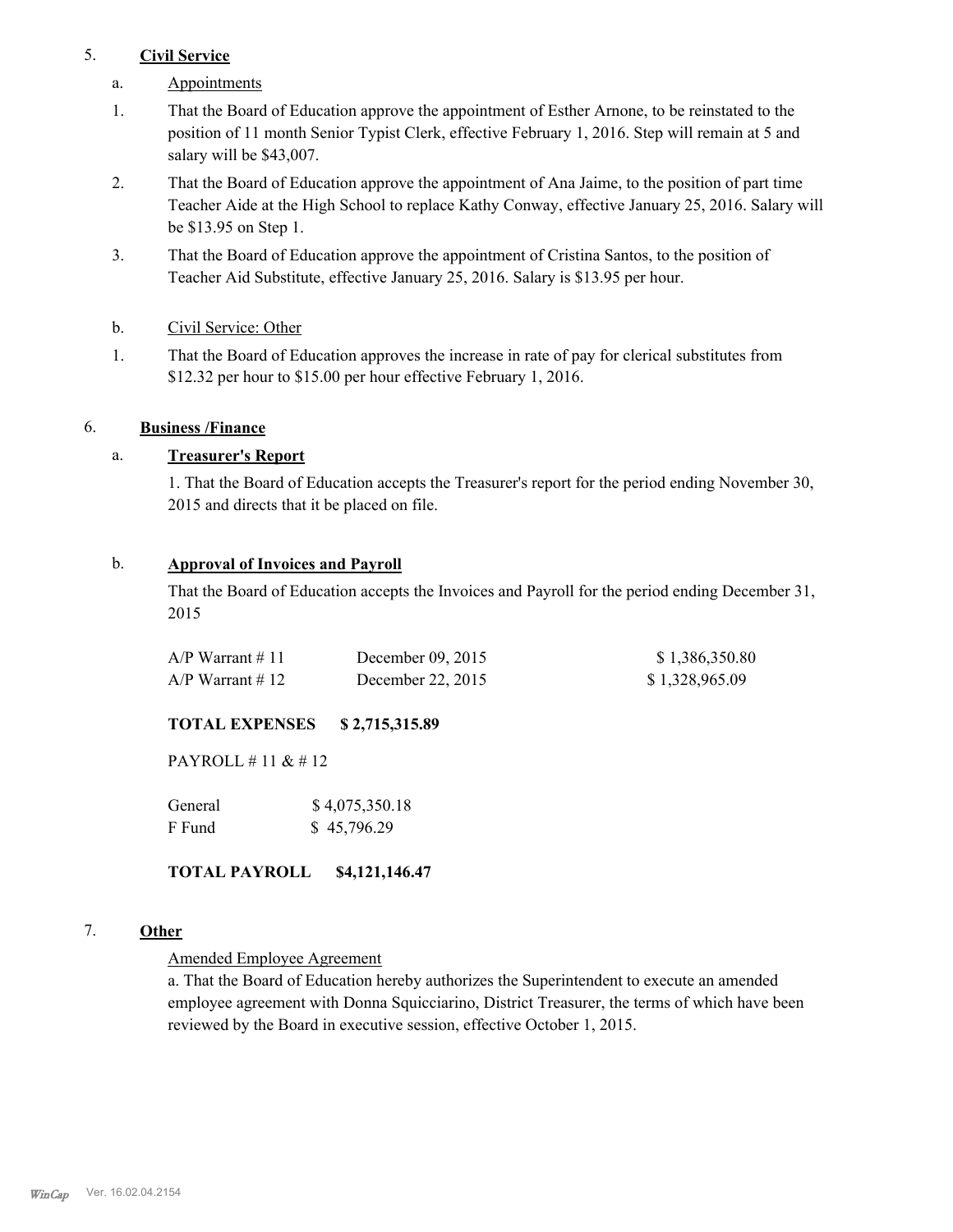#### 5. **Civil Service**

- a. Appointments
- That the Board of Education approve the appointment of Esther Arnone, to be reinstated to the position of 11 month Senior Typist Clerk, effective February 1, 2016. Step will remain at 5 and salary will be \$43,007. 1.
- That the Board of Education approve the appointment of Ana Jaime, to the position of part time Teacher Aide at the High School to replace Kathy Conway, effective January 25, 2016. Salary will be \$13.95 on Step 1. 2.
- That the Board of Education approve the appointment of Cristina Santos, to the position of Teacher Aid Substitute, effective January 25, 2016. Salary is \$13.95 per hour. 3.
- b. Civil Service: Other
- That the Board of Education approves the increase in rate of pay for clerical substitutes from \$12.32 per hour to \$15.00 per hour effective February 1, 2016. 1.

#### 6. **Business /Finance**

## a. **Treasurer's Report**

1. That the Board of Education accepts the Treasurer's report for the period ending November 30, 2015 and directs that it be placed on file.

#### b. **Approval of Invoices and Payroll**

That the Board of Education accepts the Invoices and Payroll for the period ending December 31, 2015

| $A/P$ Warrant # 11 | December $09, 2015$ | \$1,386,350.80 |
|--------------------|---------------------|----------------|
| $A/P$ Warrant # 12 | December 22, 2015   | \$1,328,965.09 |

## **TOTAL EXPENSES \$ 2,715,315.89**

PAYROLL # 11 & # 12

| General | \$4,075,350.18 |
|---------|----------------|
| F Fund  | \$45,796.29    |

**TOTAL PAYROLL \$4,121,146.47**

#### 7. **Other**

#### Amended Employee Agreement

a. That the Board of Education hereby authorizes the Superintendent to execute an amended employee agreement with Donna Squicciarino, District Treasurer, the terms of which have been reviewed by the Board in executive session, effective October 1, 2015.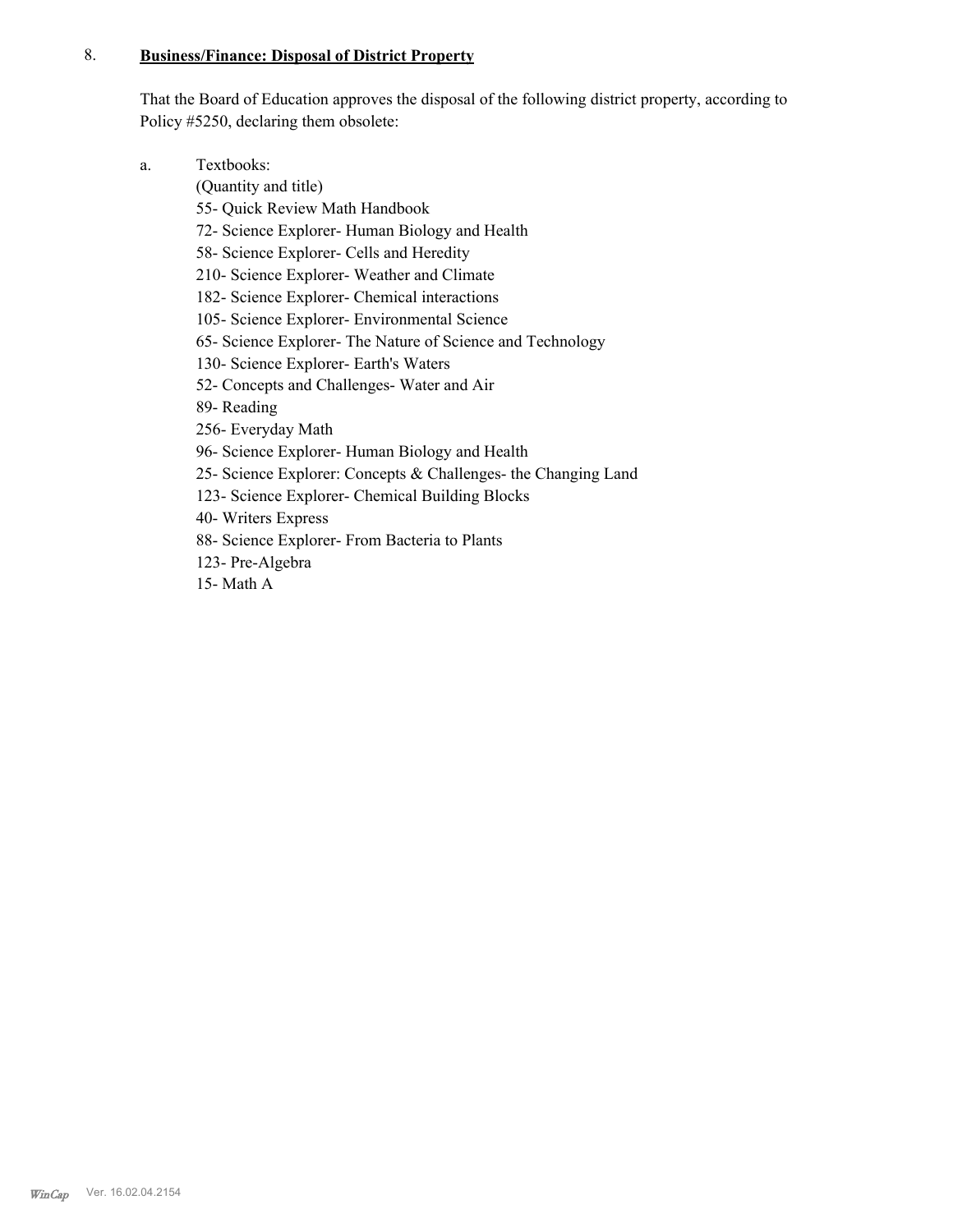#### **Business/Finance: Disposal of District Property** 8.

That the Board of Education approves the disposal of the following district property, according to Policy #5250, declaring them obsolete:

Textbooks: a.

(Quantity and title)

- 55- Quick Review Math Handbook
- 72- Science Explorer- Human Biology and Health
- 58- Science Explorer- Cells and Heredity
- 210- Science Explorer- Weather and Climate
- 182- Science Explorer- Chemical interactions
- 105- Science Explorer- Environmental Science
- 65- Science Explorer- The Nature of Science and Technology
- 130- Science Explorer- Earth's Waters
- 52- Concepts and Challenges- Water and Air
- 89- Reading
- 256- Everyday Math
- 96- Science Explorer- Human Biology and Health
- 25- Science Explorer: Concepts & Challenges- the Changing Land
- 123- Science Explorer- Chemical Building Blocks
- 40- Writers Express
- 88- Science Explorer- From Bacteria to Plants
- 123- Pre-Algebra
- 15- Math A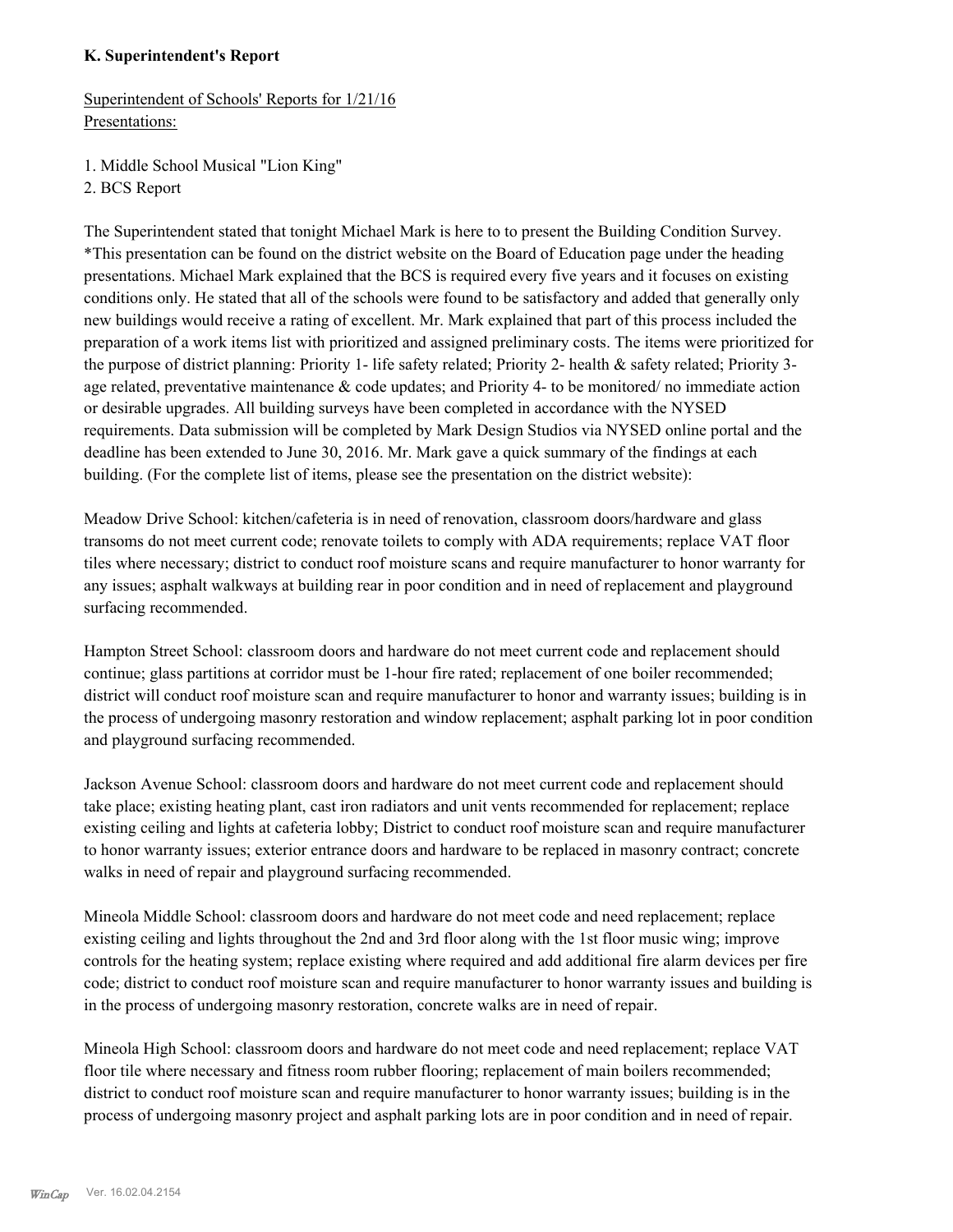#### **K. Superintendent's Report**

Superintendent of Schools' Reports for 1/21/16 Presentations:

1. Middle School Musical "Lion King"

2. BCS Report

The Superintendent stated that tonight Michael Mark is here to to present the Building Condition Survey. \*This presentation can be found on the district website on the Board of Education page under the heading presentations. Michael Mark explained that the BCS is required every five years and it focuses on existing conditions only. He stated that all of the schools were found to be satisfactory and added that generally only new buildings would receive a rating of excellent. Mr. Mark explained that part of this process included the preparation of a work items list with prioritized and assigned preliminary costs. The items were prioritized for the purpose of district planning: Priority 1- life safety related; Priority 2- health & safety related; Priority 3 age related, preventative maintenance & code updates; and Priority 4- to be monitored/ no immediate action or desirable upgrades. All building surveys have been completed in accordance with the NYSED requirements. Data submission will be completed by Mark Design Studios via NYSED online portal and the deadline has been extended to June 30, 2016. Mr. Mark gave a quick summary of the findings at each building. (For the complete list of items, please see the presentation on the district website):

Meadow Drive School: kitchen/cafeteria is in need of renovation, classroom doors/hardware and glass transoms do not meet current code; renovate toilets to comply with ADA requirements; replace VAT floor tiles where necessary; district to conduct roof moisture scans and require manufacturer to honor warranty for any issues; asphalt walkways at building rear in poor condition and in need of replacement and playground surfacing recommended.

Hampton Street School: classroom doors and hardware do not meet current code and replacement should continue; glass partitions at corridor must be 1-hour fire rated; replacement of one boiler recommended; district will conduct roof moisture scan and require manufacturer to honor and warranty issues; building is in the process of undergoing masonry restoration and window replacement; asphalt parking lot in poor condition and playground surfacing recommended.

Jackson Avenue School: classroom doors and hardware do not meet current code and replacement should take place; existing heating plant, cast iron radiators and unit vents recommended for replacement; replace existing ceiling and lights at cafeteria lobby; District to conduct roof moisture scan and require manufacturer to honor warranty issues; exterior entrance doors and hardware to be replaced in masonry contract; concrete walks in need of repair and playground surfacing recommended.

Mineola Middle School: classroom doors and hardware do not meet code and need replacement; replace existing ceiling and lights throughout the 2nd and 3rd floor along with the 1st floor music wing; improve controls for the heating system; replace existing where required and add additional fire alarm devices per fire code; district to conduct roof moisture scan and require manufacturer to honor warranty issues and building is in the process of undergoing masonry restoration, concrete walks are in need of repair.

Mineola High School: classroom doors and hardware do not meet code and need replacement; replace VAT floor tile where necessary and fitness room rubber flooring; replacement of main boilers recommended; district to conduct roof moisture scan and require manufacturer to honor warranty issues; building is in the process of undergoing masonry project and asphalt parking lots are in poor condition and in need of repair.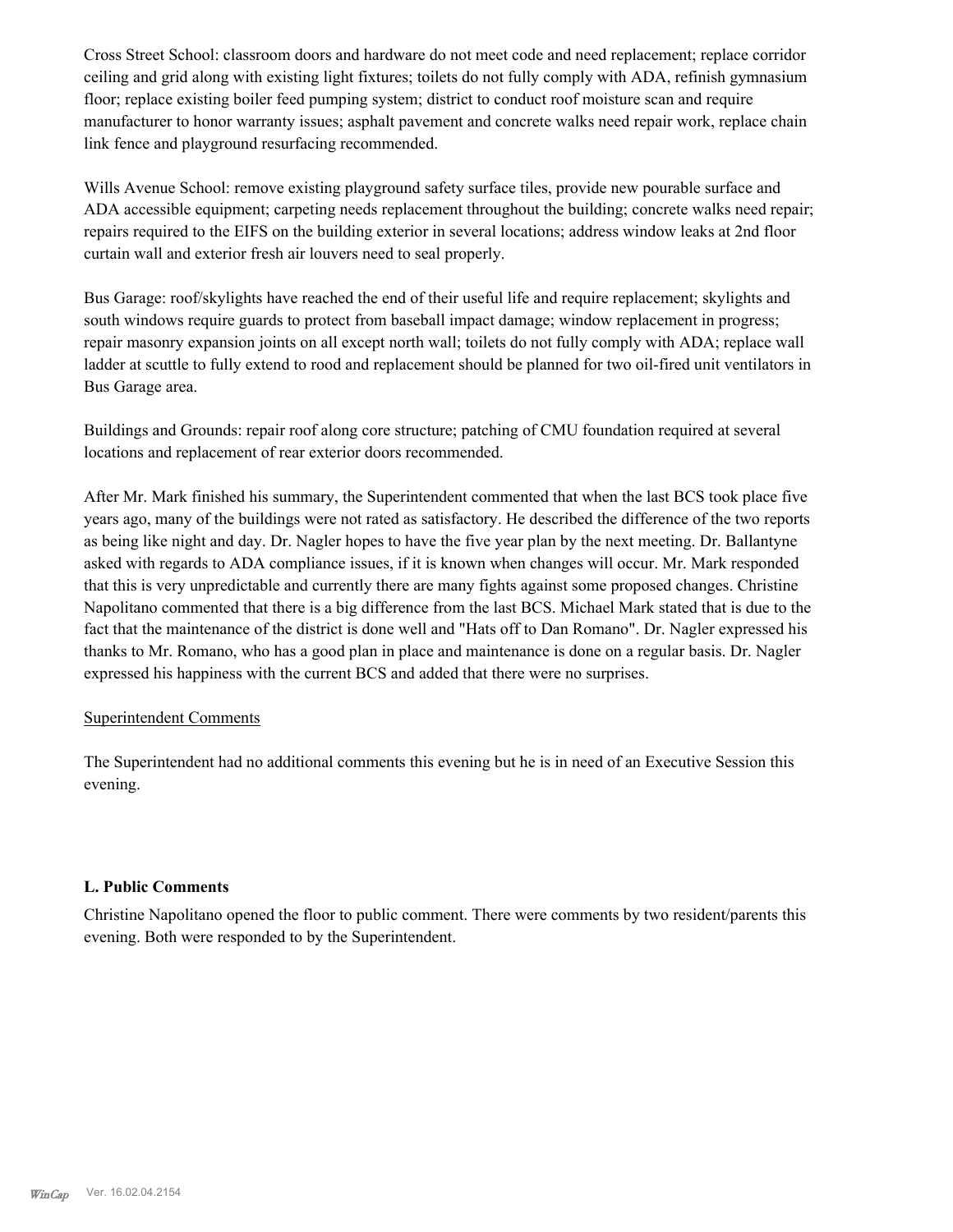Cross Street School: classroom doors and hardware do not meet code and need replacement; replace corridor ceiling and grid along with existing light fixtures; toilets do not fully comply with ADA, refinish gymnasium floor; replace existing boiler feed pumping system; district to conduct roof moisture scan and require manufacturer to honor warranty issues; asphalt pavement and concrete walks need repair work, replace chain link fence and playground resurfacing recommended.

Wills Avenue School: remove existing playground safety surface tiles, provide new pourable surface and ADA accessible equipment; carpeting needs replacement throughout the building; concrete walks need repair; repairs required to the EIFS on the building exterior in several locations; address window leaks at 2nd floor curtain wall and exterior fresh air louvers need to seal properly.

Bus Garage: roof/skylights have reached the end of their useful life and require replacement; skylights and south windows require guards to protect from baseball impact damage; window replacement in progress; repair masonry expansion joints on all except north wall; toilets do not fully comply with ADA; replace wall ladder at scuttle to fully extend to rood and replacement should be planned for two oil-fired unit ventilators in Bus Garage area.

Buildings and Grounds: repair roof along core structure; patching of CMU foundation required at several locations and replacement of rear exterior doors recommended.

After Mr. Mark finished his summary, the Superintendent commented that when the last BCS took place five years ago, many of the buildings were not rated as satisfactory. He described the difference of the two reports as being like night and day. Dr. Nagler hopes to have the five year plan by the next meeting. Dr. Ballantyne asked with regards to ADA compliance issues, if it is known when changes will occur. Mr. Mark responded that this is very unpredictable and currently there are many fights against some proposed changes. Christine Napolitano commented that there is a big difference from the last BCS. Michael Mark stated that is due to the fact that the maintenance of the district is done well and "Hats off to Dan Romano". Dr. Nagler expressed his thanks to Mr. Romano, who has a good plan in place and maintenance is done on a regular basis. Dr. Nagler expressed his happiness with the current BCS and added that there were no surprises.

#### Superintendent Comments

The Superintendent had no additional comments this evening but he is in need of an Executive Session this evening.

#### **L. Public Comments**

Christine Napolitano opened the floor to public comment. There were comments by two resident/parents this evening. Both were responded to by the Superintendent.